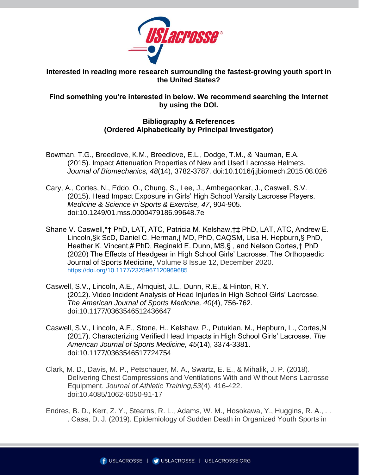

**Interested in reading more research surrounding the fastest-growing youth sport in the United States?**

## **Find something you're interested in below. We recommend searching the Internet by using the DOI.**

## **Bibliography & References (Ordered Alphabetically by Principal Investigator)**

- Bowman, T.G., Breedlove, K.M., Breedlove, E.L., Dodge, T.M., & Nauman, E.A. (2015). Impact Attenuation Properties of New and Used Lacrosse Helmets. *Journal of Biomechanics, 48*(14), 3782-3787. doi:10.1016/j.jbiomech.2015.08.026
- Cary, A., Cortes, N., Eddo, O., Chung, S., Lee, J., Ambegaonkar, J., Caswell, S.V. (2015). Head Impact Exposure in Girls' High School Varsity Lacrosse Players. *Medicine & Science in Sports & Exercise, 47*, 904-905. doi:10.1249/01.mss.0000479186.99648.7e
- Shane V. Caswell,\*† PhD, LAT, ATC, Patricia M. Kelshaw,†‡ PhD, LAT, ATC, Andrew E. Lincoln,§k ScD, Daniel C. Herman,{ MD, PhD, CAQSM, Lisa H. Hepburn,§ PhD, Heather K. Vincent,# PhD, Reginald E. Dunn, MS,§ , and Nelson Cortes,† PhD (2020) The Effects of Headgear in High School Girls' Lacrosse. The Orthopaedic Journal of Sports Medicine, Volume 8 Issue 12, December 2020. [https://doi.org/10.1177/2325967120969685](https://doi.org/10.1177%2F2325967120969685)
- Caswell, S.V., Lincoln, A.E., Almquist, J.L., Dunn, R.E., & Hinton, R.Y. (2012). Video Incident Analysis of Head Injuries in High School Girls' Lacrosse. *The American Journal of Sports Medicine, 40*(4), 756-762. doi:10.1177/0363546512436647
- Caswell, S.V., Lincoln, A.E., Stone, H., Kelshaw, P., Putukian, M., Hepburn, L., Cortes,N (2017). Characterizing Verified Head Impacts in High School Girls' Lacrosse. *The American Journal of Sports Medicine, 45*(14), 3374-3381. doi:10.1177/0363546517724754
- Clark, M. D., Davis, M. P., Petschauer, M. A., Swartz, E. E., & Mihalik, J. P. (2018). Delivering Chest Compressions and Ventilations With and Without Mens Lacrosse Equipment. *Journal of Athletic Training,53*(4), 416-422. doi:10.4085/1062-6050-91-17
- Endres, B. D., Kerr, Z. Y., Stearns, R. L., Adams, W. M., Hosokawa, Y., Huggins, R. A., . . . Casa, D. J. (2019). Epidemiology of Sudden Death in Organized Youth Sports in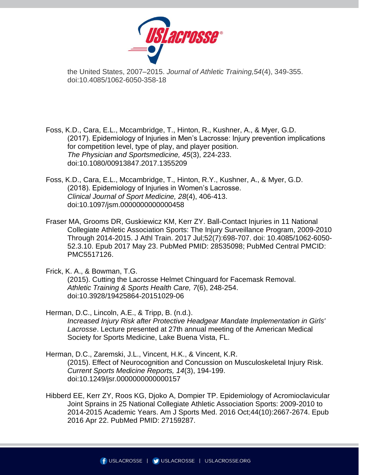

the United States, 2007–2015. *Journal of Athletic Training,54*(4), 349-355. doi:10.4085/1062-6050-358-18

Foss, K.D., Cara, E.L., Mccambridge, T., Hinton, R., Kushner, A., & Myer, G.D. (2017). Epidemiology of Injuries in Men's Lacrosse: Injury prevention implications for competition level, type of play, and player position. *The Physician and Sportsmedicine, 45*(3), 224-233. doi:10.1080/00913847.2017.1355209

Foss, K.D., Cara, E.L., Mccambridge, T., Hinton, R.Y., Kushner, A., & Myer, G.D. (2018). Epidemiology of Injuries in Women's Lacrosse. *Clinical Journal of Sport Medicine, 28*(4), 406-413. doi:10.1097/jsm.0000000000000458

Fraser MA, Grooms DR, Guskiewicz KM, Kerr ZY. Ball-Contact Injuries in 11 National Collegiate Athletic Association Sports: The Injury Surveillance Program, 2009-2010 Through 2014-2015. J Athl Train. 2017 Jul;52(7):698-707. doi: 10.4085/1062-6050- 52.3.10. Epub 2017 May 23. PubMed PMID: 28535098; PubMed Central PMCID: PMC5517126.

Frick, K. A., & Bowman, T.G.

(2015). Cutting the Lacrosse Helmet Chinguard for Facemask Removal. *Athletic Training & Sports Health Care, 7*(6), 248-254. doi:10.3928/19425864-20151029-06

Herman, D.C., Lincoln, A.E., & Tripp, B. (n.d.).

*Increased Injury Risk after Protective Headgear Mandate Implementation in Girls' Lacrosse*. Lecture presented at 27th annual meeting of the American Medical Society for Sports Medicine, Lake Buena Vista, FL.

Herman, D.C., Zaremski, J.L., Vincent, H.K., & Vincent, K.R. (2015). Effect of Neurocognition and Concussion on Musculoskeletal Injury Risk. *Current Sports Medicine Reports, 14*(3), 194-199. doi:10.1249/jsr.0000000000000157

Hibberd EE, Kerr ZY, Roos KG, Djoko A, Dompier TP. Epidemiology of Acromioclavicular Joint Sprains in 25 National Collegiate Athletic Association Sports: 2009-2010 to 2014-2015 Academic Years. Am J Sports Med. 2016 Oct;44(10):2667-2674. Epub 2016 Apr 22. PubMed PMID: 27159287.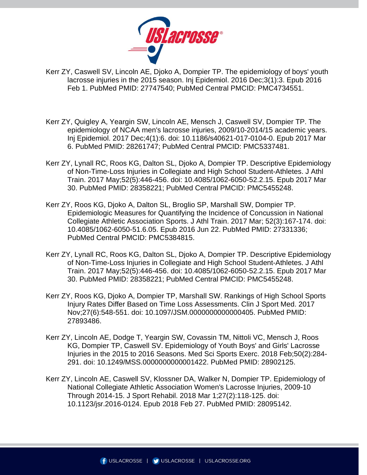

- Kerr ZY, Caswell SV, Lincoln AE, Djoko A, Dompier TP. The epidemiology of boys' youth lacrosse injuries in the 2015 season. Inj Epidemiol. 2016 Dec;3(1):3. Epub 2016 Feb 1. PubMed PMID: 27747540; PubMed Central PMCID: PMC4734551.
- Kerr ZY, Quigley A, Yeargin SW, Lincoln AE, Mensch J, Caswell SV, Dompier TP. The epidemiology of NCAA men's lacrosse injuries, 2009/10-2014/15 academic years. Inj Epidemiol. 2017 Dec;4(1):6. doi: 10.1186/s40621-017-0104-0. Epub 2017 Mar 6. PubMed PMID: 28261747; PubMed Central PMCID: PMC5337481.
- Kerr ZY, Lynall RC, Roos KG, Dalton SL, Djoko A, Dompier TP. Descriptive Epidemiology of Non-Time-Loss Injuries in Collegiate and High School Student-Athletes. J Athl Train. 2017 May;52(5):446-456. doi: 10.4085/1062-6050-52.2.15. Epub 2017 Mar 30. PubMed PMID: 28358221; PubMed Central PMCID: PMC5455248.
- Kerr ZY, Roos KG, Djoko A, Dalton SL, Broglio SP, Marshall SW, Dompier TP. Epidemiologic Measures for Quantifying the Incidence of Concussion in National Collegiate Athletic Association Sports. J Athl Train. 2017 Mar; 52(3):167-174. doi: 10.4085/1062-6050-51.6.05. Epub 2016 Jun 22. PubMed PMID: 27331336; PubMed Central PMCID: PMC5384815.
- Kerr ZY, Lynall RC, Roos KG, Dalton SL, Djoko A, Dompier TP. Descriptive Epidemiology of Non-Time-Loss Injuries in Collegiate and High School Student-Athletes. J Athl Train. 2017 May;52(5):446-456. doi: 10.4085/1062-6050-52.2.15. Epub 2017 Mar 30. PubMed PMID: 28358221; PubMed Central PMCID: PMC5455248.
- Kerr ZY, Roos KG, Djoko A, Dompier TP, Marshall SW. Rankings of High School Sports Injury Rates Differ Based on Time Loss Assessments. Clin J Sport Med. 2017 Nov;27(6):548-551. doi: 10.1097/JSM.0000000000000405. PubMed PMID: 27893486.
- Kerr ZY, Lincoln AE, Dodge T, Yeargin SW, Covassin TM, Nittoli VC, Mensch J, Roos KG, Dompier TP, Caswell SV. Epidemiology of Youth Boys' and Girls' Lacrosse Injuries in the 2015 to 2016 Seasons. Med Sci Sports Exerc. 2018 Feb;50(2):284- 291. doi: 10.1249/MSS.0000000000001422. PubMed PMID: 28902125.
- Kerr ZY, Lincoln AE, Caswell SV, Klossner DA, Walker N, Dompier TP. Epidemiology of National Collegiate Athletic Association Women's Lacrosse Injuries, 2009-10 Through 2014-15. J Sport Rehabil. 2018 Mar 1;27(2):118-125. doi: 10.1123/jsr.2016-0124. Epub 2018 Feb 27. PubMed PMID: 28095142.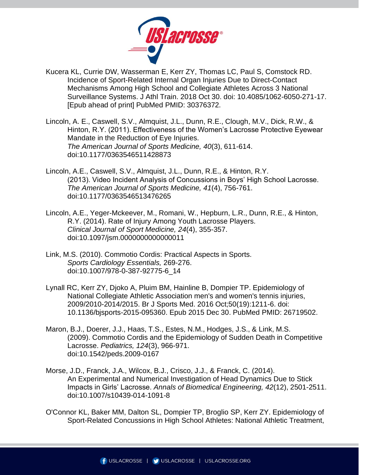

- Kucera KL, Currie DW, Wasserman E, Kerr ZY, Thomas LC, Paul S, Comstock RD. Incidence of Sport-Related Internal Organ Injuries Due to Direct-Contact Mechanisms Among High School and Collegiate Athletes Across 3 National Surveillance Systems. J Athl Train. 2018 Oct 30. doi: 10.4085/1062-6050-271-17. [Epub ahead of print] PubMed PMID: 30376372.
- Lincoln, A. E., Caswell, S.V., Almquist, J.L., Dunn, R.E., Clough, M.V., Dick, R.W., & Hinton, R.Y. (2011). Effectiveness of the Women's Lacrosse Protective Eyewear Mandate in the Reduction of Eye Injuries. *The American Journal of Sports Medicine, 40*(3), 611-614. doi:10.1177/0363546511428873
- Lincoln, A.E., Caswell, S.V., Almquist, J.L., Dunn, R.E., & Hinton, R.Y. (2013). Video Incident Analysis of Concussions in Boys' High School Lacrosse. *The American Journal of Sports Medicine, 41*(4), 756-761. doi:10.1177/0363546513476265
- Lincoln, A.E., Yeger-Mckeever, M., Romani, W., Hepburn, L.R., Dunn, R.E., & Hinton, R.Y. (2014). Rate of Injury Among Youth Lacrosse Players. *Clinical Journal of Sport Medicine, 24*(4), 355-357. doi:10.1097/jsm.0000000000000011
- Link, M.S. (2010). Commotio Cordis: Practical Aspects in Sports. *Sports Cardiology Essentials,* 269-276. doi:10.1007/978-0-387-92775-6\_14
- Lynall RC, Kerr ZY, Djoko A, Pluim BM, Hainline B, Dompier TP. Epidemiology of National Collegiate Athletic Association men's and women's tennis injuries, 2009/2010-2014/2015. Br J Sports Med. 2016 Oct;50(19):1211-6. doi: 10.1136/bjsports-2015-095360. Epub 2015 Dec 30. PubMed PMID: 26719502.
- Maron, B.J., Doerer, J.J., Haas, T.S., Estes, N.M., Hodges, J.S., & Link, M.S. (2009). Commotio Cordis and the Epidemiology of Sudden Death in Competitive Lacrosse. *Pediatrics, 124*(3), 966-971. doi:10.1542/peds.2009-0167
- Morse, J.D., Franck, J.A., Wilcox, B.J., Crisco, J.J., & Franck, C. (2014). An Experimental and Numerical Investigation of Head Dynamics Due to Stick Impacts in Girls' Lacrosse. *Annals of Biomedical Engineering, 42*(12), 2501-2511. doi:10.1007/s10439-014-1091-8
- O'Connor KL, Baker MM, Dalton SL, Dompier TP, Broglio SP, Kerr ZY. Epidemiology of Sport-Related Concussions in High School Athletes: National Athletic Treatment,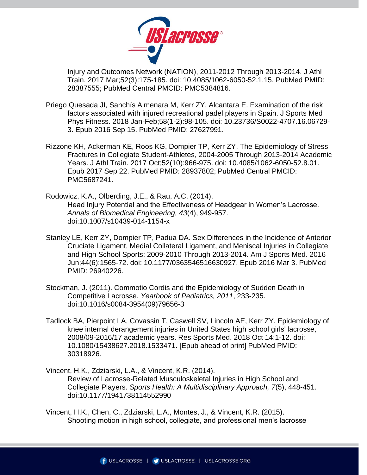

Injury and Outcomes Network (NATION), 2011-2012 Through 2013-2014. J Athl Train. 2017 Mar;52(3):175-185. doi: 10.4085/1062-6050-52.1.15. PubMed PMID: 28387555; PubMed Central PMCID: PMC5384816.

- Priego Quesada JI, Sanchís Almenara M, Kerr ZY, Alcantara E. Examination of the risk factors associated with injured recreational padel players in Spain. J Sports Med Phys Fitness. 2018 Jan-Feb;58(1-2):98-105. doi: 10.23736/S0022-4707.16.06729- 3. Epub 2016 Sep 15. PubMed PMID: 27627991.
- Rizzone KH, Ackerman KE, Roos KG, Dompier TP, Kerr ZY. The Epidemiology of Stress Fractures in Collegiate Student-Athletes, 2004-2005 Through 2013-2014 Academic Years. J Athl Train. 2017 Oct;52(10):966-975. doi: 10.4085/1062-6050-52.8.01. Epub 2017 Sep 22. PubMed PMID: 28937802; PubMed Central PMCID: PMC5687241.
- Rodowicz, K.A., Olberding, J.E., & Rau, A.C. (2014). Head Injury Potential and the Effectiveness of Headgear in Women's Lacrosse. *Annals of Biomedical Engineering, 43*(4), 949-957. doi:10.1007/s10439-014-1154-x
- Stanley LE, Kerr ZY, Dompier TP, Padua DA. Sex Differences in the Incidence of Anterior Cruciate Ligament, Medial Collateral Ligament, and Meniscal Injuries in Collegiate and High School Sports: 2009-2010 Through 2013-2014. Am J Sports Med. 2016 Jun;44(6):1565-72. doi: 10.1177/0363546516630927. Epub 2016 Mar 3. PubMed PMID: 26940226.
- Stockman, J. (2011). Commotio Cordis and the Epidemiology of Sudden Death in Competitive Lacrosse. *Yearbook of Pediatrics, 2011*, 233-235. doi:10.1016/s0084-3954(09)79656-3
- Tadlock BA, Pierpoint LA, Covassin T, Caswell SV, Lincoln AE, Kerr ZY. Epidemiology of knee internal derangement injuries in United States high school girls' lacrosse, 2008/09-2016/17 academic years. Res Sports Med. 2018 Oct 14:1-12. doi: 10.1080/15438627.2018.1533471. [Epub ahead of print] PubMed PMID: 30318926.
- Vincent, H.K., Zdziarski, L.A., & Vincent, K.R. (2014). Review of Lacrosse-Related Musculoskeletal Injuries in High School and Collegiate Players. *Sports Health: A Multidisciplinary Approach, 7*(5), 448-451. doi:10.1177/1941738114552990
- Vincent, H.K., Chen, C., Zdziarski, L.A., Montes, J., & Vincent, K.R. (2015). Shooting motion in high school, collegiate, and professional men's lacrosse